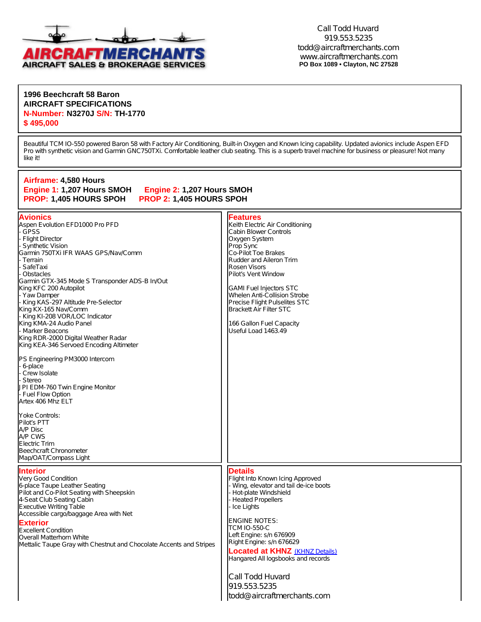

Call Todd Huvard 919.553.5235 [todd@aircraftmerchants.com](mailto:todd@aircraftmerchants.com) [www.aircraftmerchants.com](http://www.aircraftmerchants.com) **PO Box 1089 • Clayton, NC 27528**

## **1996 Beechcraft 58 Baron AIRCRAFT SPECIFICATIONS N-Number: N3270J S/N: TH-1770 \$ 495,000**

Beautiful TCM IO-550 powered Baron 58 with Factory Air Conditioning, Built-in Oxygen and Known Icing capability. Updated avionics include Aspen EFD Pro with synthetic vision and Garmin GNC750TXi. Comfortable leather club seating. This is a superb travel machine for business or pleasure! Not many like it!

| Airframe: 4,580 Hours<br>Engine 1: 1,207 Hours SMOH<br>Engine 2: 1,207 Hours SMOH<br>PROP: 1,405 HOURS SPOH<br>PROP 2: 1,405 HOURS SPOH                                                                                                                                                                                                                                                                                                                                                                                                                                                                                                                                                                                                                                                                        |                                                                                                                                                                                                                                                                                                                                                                                                                     |
|----------------------------------------------------------------------------------------------------------------------------------------------------------------------------------------------------------------------------------------------------------------------------------------------------------------------------------------------------------------------------------------------------------------------------------------------------------------------------------------------------------------------------------------------------------------------------------------------------------------------------------------------------------------------------------------------------------------------------------------------------------------------------------------------------------------|---------------------------------------------------------------------------------------------------------------------------------------------------------------------------------------------------------------------------------------------------------------------------------------------------------------------------------------------------------------------------------------------------------------------|
| <b>Avionics</b><br>Aspen Evolution EFD1000 Pro PFD<br><b>GPSS</b><br><b>Flight Director</b><br><b>Synthetic Vision</b><br>Garmin 750TXi IFR WAAS GPS/Nav/Comm<br>Terrain<br>SafeTaxi<br>Obstacles<br>Garmin GTX-345 Mode S Transponder ADS-B In/Out<br>King KFC 200 Autopilot<br>Yaw Damper<br>King KAS-297 Altitude Pre-Selector<br>King KX-165 Nav/Comm<br>- King KI-208 VOR/LOC Indicator<br>King KMA-24 Audio Panel<br>- Marker Beacons<br>King RDR-2000 Digital Weather Radar<br>King KEA-346 Servoed Encoding Altimeter<br>PS Engineering PM3000 Intercom<br>6-place<br>Crew Isolate<br>Stereo<br>JPI EDM-760 Twin Engine Monitor<br>- Fuel Flow Option<br>Artex 406 Mhz ELT<br>Yoke Controls:<br>Pilot's PTT<br>A/P Disc<br>A/P CWS<br>Electric Trim<br>Beechcraft Chronometer<br>Map/OAT/Compass Light | <b>Features</b><br>Keith Electric Air Conditioning<br>Cabin Blower Controls<br>Oxygen System<br>Prop Sync<br>Co-Pilot Toe Brakes<br>Rudder and Aileron Trim<br>Rosen Visors<br>Pilot's Vent Window<br><b>GAMI Fuel Injectors STC</b><br>Whelen Anti-Collision Strobe<br>Precise Flight Pulselites STC<br><b>Brackett Air Filter STC</b><br>166 Gallon Fuel Capacity<br>Useful Load 1463.49                          |
| <b>Interior</b><br>Very Good Condition<br>6-place Taupe Leather Seating<br>Pilot and Co-Pilot Seating with Sheepskin<br>4-Seat Club Seating Cabin<br><b>Executive Writing Table</b><br>Accessible cargo/baggage Area with Net<br><b>Exterior</b><br><b>Excellent Condition</b><br>Overall Matterhorn White<br>Mettalic Taupe Gray with Chestnut and Chocolate Accents and Stripes                                                                                                                                                                                                                                                                                                                                                                                                                              | <b>Details</b><br>Flight Into Known Icing Approved<br>Wing, elevator and tail de-ice boots<br>Hot-plate Windshield<br><b>Heated Propellers</b><br>Ice Lights<br><b>ENGINE NOTES:</b><br><b>TCM IO-550-C</b><br>Left Engine: s/n 676909<br>Right Engine: s/n 676629<br><b>Located at KHNZ</b> (KHNZ Details)<br>Hangared All logsbooks and records<br>Call Todd Huvard<br>919.553.5235<br>todd@aircraftmerchants.com |